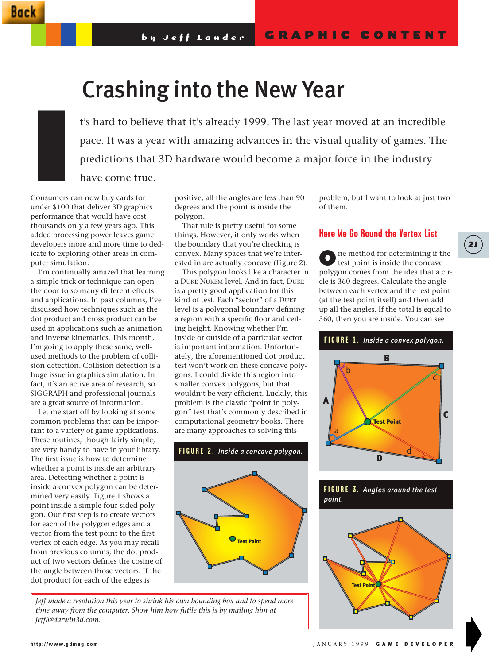# Crashing into the New Year

t's hard to believe that it's already 1999. The last year moved at an incredible pace. It was a year with amazing advances in the visual quality of games. The predictions that 3D hardware would become a major force in the industry have come true.

Consumers can now buy cards for under \$100 that deliver 3D graphics performance that would have cost thousands only a few years ago. This added processing power leaves game developers more and more time to dedicate to exploring other areas in computer simulation. I

I'm continually amazed that learning a simple trick or technique can open the door to so many different effects and applications. In past columns, I've discussed how techniques such as the dot product and cross product can be used in applications such as animation and inverse kinematics. This month, I'm going to apply these same, wellused methods to the problem of collision detection. Collision detection is a huge issue in graphics simulation. In fact, it's an active area of research, so SIGGRAPH and professional journals are a great source of information.

Let me start off by looking at some common problems that can be important to a variety of game applications. These routines, though fairly simple, are very handy to have in your library. The first issue is how to determine whether a point is inside an arbitrary area. Detecting whether a point is inside a convex polygon can be determined very easily. Figure 1 shows a point inside a simple four-sided polygon. Our first step is to create vectors for each of the polygon edges and a vector from the test point to the first vertex of each edge. As you may recall from previous columns, the dot product of two vectors defines the cosine of the angle between those vectors. If the dot product for each of the edges is

positive, all the angles are less than 90 degrees and the point is inside the polygon.

That rule is pretty useful for some things. However, it only works when the boundary that you're checking is convex. Many spaces that we're interested in are actually concave (Figure 2).

This polygon looks like a character in a DUKE NUKEM level. And in fact, DUKE is a pretty good application for this kind of test. Each "sector" of a DUKE level is a polygonal boundary defining a region with a specific floor and ceiling height. Knowing whether I'm inside or outside of a particular sector is important information. Unfortunately, the aforementioned dot product test won't work on these concave polygons. I could divide this region into smaller convex polygons, but that wouldn't be very efficient. Luckily, this problem is the classic "point in polygon" test that's commonly described in computational geometry books. There are many approaches to solving this



*Jeff made a resolution this year to shrink his own bounding box and to spend more time away from the computer. Show him how futile this is by mailing him at jeffl@darwin3d.com.* 

problem, but I want to look at just two of them.

### **Here We Go Round the Vertex List**

One method for determining if the test point is inside the concave polygon comes from the idea that a circle is 360 degrees. Calculate the angle between each vertex and the test point (at the test point itself) and then add up all the angles. If the total is equal to 360, then you are inside. You can see



**FIGURE 3.** *Angles around the test point.*



# **21**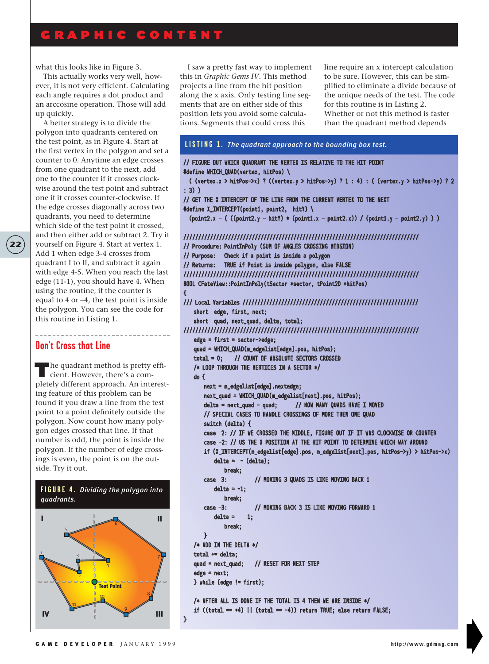# GRAPHIC CONTENT

what this looks like in Figure 3.

This actually works very well, however, it is not very efficient. Calculating each angle requires a dot product and an arccosine operation. Those will add up quickly.

A better strategy is to divide the polygon into quadrants centered on the test point, as in Figure 4. Start at the first vertex in the polygon and set a counter to 0. Anytime an edge crosses from one quadrant to the next, add one to the counter if it crosses clockwise around the test point and subtract one if it crosses counter-clockwise. If the edge crosses diagonally across two quadrants, you need to determine which side of the test point it crossed, and then either add or subtract 2. Try it yourself on Figure 4. Start at vertex 1. Add 1 when edge 3-4 crosses from quadrant I to II, and subtract it again with edge 4-5. When you reach the last edge (11-1), you should have 4. When using the routine, if the counter is equal to 4 or –4, the test point is inside the polygon. You can see the code for this routine in Listing 1.

{

}

### **Don't Cross that Line**

**22**

The quadrant method is pretty efficient. However, there's a completely different approach. An interesting feature of this problem can be found if you draw a line from the test point to a point definitely outside the polygon. Now count how many polygon edges crossed that line. If that number is odd, the point is inside the polygon. If the number of edge crossings is even, the point is on the outside. Try it out.

\_\_\_\_\_\_\_\_\_\_\_\_\_\_\_\_\_\_\_\_\_\_\_\_\_\_\_\_\_\_\_

#### **FIGURE 4.** *Dividing the polygon into quadrants.*



I saw a pretty fast way to implement this in *Graphic Gems IV*. This method projects a line from the hit position along the x axis. Only testing line segments that are on either side of this position lets you avoid some calculations. Segments that could cross this

line require an x intercept calculation to be sure. However, this can be simplified to eliminate a divide because of the unique needs of the test. The code for this routine is in Listing 2. Whether or not this method is faster than the quadrant method depends

# **LISTING 1.** *The quadrant approach to the bounding box test.*

// FIGURE OUT WHICH QUADRANT THE VERTEX IS RELATIVE TO THE HIT POINT #define WHICH\_QUAD(vertex, hitPos) \ ( (vertex.x > hitPos->x) ? ((vertex.y > hitPos->y) ? 1 : 4) : ( (vertex.y > hitPos->y) ? 2 : 3) ) // GET THE X INTERCEPT OF THE LINE FROM THE CURRENT VERTEX TO THE NEXT #define X\_INTERCEPT(point1, point2, hitY) \  $(point2.x - ( (point2.y - hitY) * (point1.x - point2.x)) / (point1.y - point2.y) ) )$ /////////////////////////////////////////////////////////////////////////////// // Procedure: PointInPoly (SUM OF ANGLES CROSSING VERSION) // Purpose: Check if a point is inside a polygon // Returns: TRUE if Point is inside polygon, else FALSE /////////////////////////////////////////////////////////////////////////////// BOOL CFateView::PointInPoly(tSector \*sector, tPoint2D \*hitPos) /// Local Variables /////////////////////////////////////////////////////////// short edge, first, next; short quad, next\_quad, delta, total; /////////////////////////////////////////////////////////////////////////////// edge = first = sector->edge; quad = WHICH\_QUAD(m\_edgelist[edge].pos, hitPos); total = 0; // COUNT OF ABSOLUTE SECTORS CROSSED /\* LOOP THROUGH THE VERTICES IN A SECTOR \*/ do { next = m\_edgelist[edge].nextedge; next\_quad = WHICH\_QUAD(m\_edgelist[next].pos, hitPos); delta = next\_quad - quad; // HOW MANY QUADS HAVE I MOVED // SPECIAL CASES TO HANDLE CROSSINGS OF MORE THEN ONE QUAD switch (delta) { case 2: // IF WE CROSSED THE MIDDLE, FIGURE OUT IF IT WAS CLOCKWISE OR COUNTER case -2: // US THE X POSITION AT THE HIT POINT TO DETERMINE WHICH WAY AROUND if (X\_INTERCEPT(m\_edgelist[edge].pos, m\_edgelist[next].pos, hitPos->y) > hitPos->x)  $delta = - (delta);$ break; case 3: // MOVING 3 QUADS IS LIKE MOVING BACK 1  $delta = -1$ ; break; case -3: // MOVING BACK 3 IS LIKE MOVING FORWARD 1  $delta = 1$ ; break; } /\* ADD IN THE DELTA \*/  $total \leftarrow delta;$ quad = next\_quad; // RESET FOR NEXT STEP edge = next; } while (edge != first); /\* AFTER ALL IS DONE IF THE TOTAL IS 4 THEN WE ARE INSIDE \*/ if  $((total = +4) || (total = -4))$  return TRUE; else return FALSE;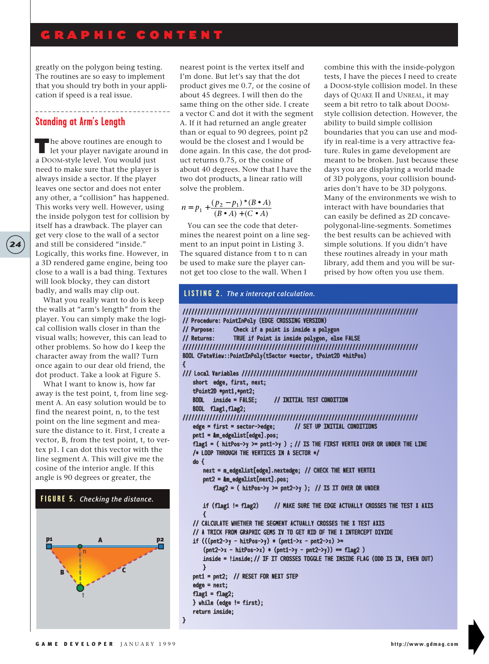# GRAPHIC CONTENT

greatly on the polygon being testing. The routines are so easy to implement that you should try both in your application if speed is a real issue.

#### **Standing at Arm's Length**

**24**

The above routines are enough to<br>let your player navigate around in a DOOM-style level. You would just need to make sure that the player is always inside a sector. If the player leaves one sector and does not enter any other, a "collision" has happened. This works very well. However, using the inside polygon test for collision by itself has a drawback. The player can get very close to the wall of a sector and still be considered "inside." Logically, this works fine. However, in a 3D rendered game engine, being too close to a wall is a bad thing. Textures will look blocky, they can distort badly, and walls may clip out.

What you really want to do is keep the walls at "arm's length" from the player. You can simply make the logical collision walls closer in than the visual walls; however, this can lead to other problems. So how do I keep the character away from the wall? Turn once again to our dear old friend, the dot product. Take a look at Figure 5.

What I want to know is, how far away is the test point, t, from line segment A. An easy solution would be to find the nearest point, n, to the test point on the line segment and measure the distance to it. First, I create a vector, B, from the test point, t, to vertex p1. I can dot this vector with the line segment A. This will give me the cosine of the interior angle. If this angle is 90 degrees or greater, the



nearest point is the vertex itself and I'm done. But let's say that the dot product gives me 0.7, or the cosine of about 45 degrees. I will then do the same thing on the other side. I create a vector C and dot it with the segment A. If it had returned an angle greater than or equal to 90 degrees, point p2 would be the closest and I would be done again. In this case, the dot product returns 0.75, or the cosine of about 40 degrees. Now that I have the two dot products, a linear ratio will solve the problem.

$$
n = p_1 + \frac{(p_2 - p_1) * (B \bullet A)}{(B \bullet A) + (C \bullet A)}
$$

You can see the code that determines the nearest point on a line segment to an input point in Listing 3. The squared distance from t to n can be used to make sure the player cannot get too close to the wall. When I

combine this with the inside-polygon tests, I have the pieces I need to create a DOOM-style collision model. In these days of QUAKE II and UNREAL, it may seem a bit retro to talk about DOOMstyle collision detection. However, the ability to build simple collision boundaries that you can use and modify in real-time is a very attractive feature. Rules in game development are meant to be broken. Just because these days you are displaying a world made of 3D polygons, your collision boundaries don't have to be 3D polygons. Many of the environments we wish to interact with have boundaries that can easily be defined as 2D concavepolygonal-line-segments. Sometimes the best results can be achieved with simple solutions. If you didn't have these routines already in your math library, add them and you will be surprised by how often you use them.

#### /////////////////////////////////////////////////////////////////////////////// // Procedure: PointInPoly (EDGE CROSSING VERSION) // Purpose: Check if a point is inside a polygon // Returns: TRUE if Point is inside polygon, else FALSE /////////////////////////////////////////////////////////////////////////////// BOOL CFateView::PointInPoly(tSector \*sector, tPoint2D \*hitPos) { /// Local Variables /////////////////////////////////////////////////////////// short edge, first, next; tPoint2D \*pnt1,\*pnt2;<br>BOOL inside = FALSE; // INITIAL TEST CONDITION BOOL flag1,flag2; /////////////////////////////////////////////////////////////////////////////// edge = first = sector->edge; // SET UP INITIAL CONDITIONS pnt1 = &m\_edgelist[edge].pos; flag1 = ( hitPos->y >= pnt1->y ) ; // IS THE FIRST VERTEX OVER OR UNDER THE LINE /\* LOOP THROUGH THE VERTICES IN A SECTOR \*/ do { next = m\_edgelist[edge].nextedge; // CHECK THE NEXT VERTEX pnt2 = &m\_edgelist[next].pos; flag2 = ( hitPos->y >= pnt2->y ); // IS IT OVER OR UNDER if (flag1 != flag2) // MAKE SURE THE EDGE ACTUALLY CROSSES THE TEST X AXIS { // CALCULATE WHETHER THE SEGMENT ACTUALLY CROSSES THE X TEST AXIS // A TRICK FROM GRAPHIC GEMS IV TO GET RID OF THE X INTERCEPT DIVIDE if  $(((\text{pnt2-} \rightarrow \text{pntPos-} \rightarrow \text{pnt1-} \rightarrow \text{pnt2-} \rightarrow \text{pnt2-} \rightarrow \text{pnt2-} \rightarrow \text{pnt2-} \rightarrow \text{pnt2-} \rightarrow \text{pnt2-} \rightarrow \text{pnt2-} \rightarrow \text{pnt2-} \rightarrow \text{pnt2-} \rightarrow \text{pnt2-} \rightarrow \text{pnt2-} \rightarrow \text{pnt2-} \rightarrow \text{pnt2-} \rightarrow \text{pnt2-} \rightarrow \text{pnt2-} \rightarrow \text{pnt2-} \rightarrow \text{pnt2-} \rightarrow \text{pnt2-} \rightarrow \text{pnt2$  $(\text{pnt2->x - hitPos->x) * (pnt1->y - pnt2->y)) = flag2)$ inside = !inside; // IF IT CROSSES TOGGLE THE INSIDE FLAG (ODD IS IN, EVEN OUT) } pnt1 = pnt2; // RESET FOR NEXT STEP edge = next;  $flag1 = flag2;$ } while (edge != first); return inside; **LISTING 2.** *The x intercept calculation.*

}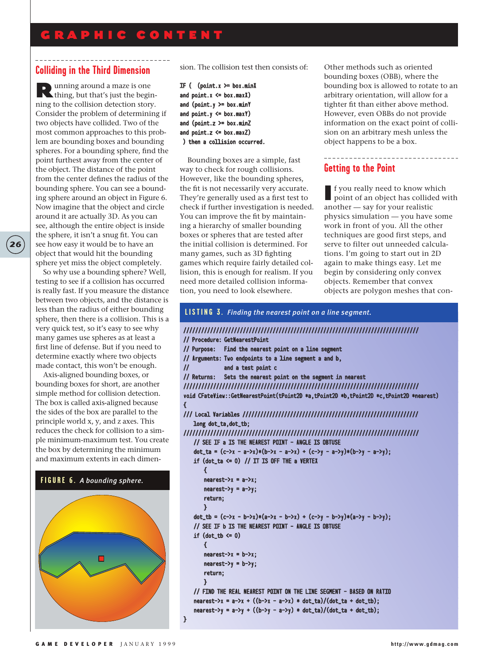# GRAPHIC CONTENT

## **Colliding in the Third Dimension**

Running around a maze is one thing, but that's just the beginning to the collision detection story. Consider the problem of determining if two objects have collided. Two of the most common approaches to this problem are bounding boxes and bounding spheres. For a bounding sphere, find the point furthest away from the center of the object. The distance of the point from the center defines the radius of the bounding sphere. You can see a bounding sphere around an object in Figure 6. Now imagine that the object and circle around it are actually 3D. As you can see, although the entire object is inside the sphere, it isn't a snug fit. You can see how easy it would be to have an object that would hit the bounding sphere yet miss the object completely.

**26**

So why use a bounding sphere? Well, testing to see if a collision has occurred is really fast. If you measure the distance between two objects, and the distance is less than the radius of either bounding sphere, then there is a collision. This is a very quick test, so it's easy to see why many games use spheres as at least a first line of defense. But if you need to determine exactly where two objects made contact, this won't be enough.

Axis-aligned bounding boxes, or bounding boxes for short, are another simple method for collision detection. The box is called axis-aligned because the sides of the box are parallel to the principle world x, y, and z axes. This reduces the check for collision to a simple minimum-maximum test. You create the box by determining the minimum and maximum extents in each dimen-

#### **FIGURE 6.** *A bounding sphere.*



sion. The collision test then consists of:

```
IF ( (point.x \geq box.minX)and point.x \leq box.maxand (point.y \geq box.minY)and point.y \leq box.maxY)and (point.z \geq box.minZ)and point.z \leq box.maxZ)) then a collision occurred.
```
Bounding boxes are a simple, fast way to check for rough collisions. However, like the bounding spheres, the fit is not necessarily very accurate. They're generally used as a first test to check if further investigation is needed. You can improve the fit by maintaining a hierarchy of smaller bounding boxes or spheres that are tested after the initial collision is determined. For many games, such as 3D fighting games which require fairly detailed collision, this is enough for realism. If you need more detailed collision information, you need to look elsewhere.

Other methods such as oriented bounding boxes (OBB), where the bounding box is allowed to rotate to an arbitrary orientation, will allow for a tighter fit than either above method. However, even OBBs do not provide information on the exact point of collision on an arbitrary mesh unless the object happens to be a box.

\_\_\_\_\_\_\_\_\_\_\_\_\_\_\_\_\_\_\_\_\_\_\_\_\_\_\_\_\_

# **Getting to the Point**

If you really need to know which<br>point of an object has collided with another — say for your realistic physics simulation — you have some work in front of you. All the other techniques are good first steps, and serve to filter out unneeded calculations. I'm going to start out in 2D again to make things easy. Let me begin by considering only convex objects. Remember that convex objects are polygon meshes that con-

```
///////////////////////////////////////////////////////////////////////////////
// Procedure: GetNearestPoint
// Purpose: Find the nearest point on a line segment
// Arguments: Two endpoints to a line segment a and b,
// and a test point c
// Returns: Sets the nearest point on the segment in nearest
///////////////////////////////////////////////////////////////////////////////
void CFateView::GetNearestPoint(tPoint2D *a,tPoint2D *b,tPoint2D *c,tPoint2D *nearest)
{
/// Local Variables ///////////////////////////////////////////////////////////
   long dot_ta,dot_tb;
///////////////////////////////////////////////////////////////////////////////
    // SEE IF a IS THE NEAREST POINT - ANGLE IS OBTUSE
    dot_ta = (c->x - a->x)*(b->x - a->x) + (c->y - a->y)*(b->y - a->y);
    if (dot_t = 0) // IT IS OFF THE a VERTEX
        {
        nearest-\lambda x = a-\lambda x;nearest->y = a->y;
        return;
       }
    dot_tb = (c-\lambda x - b-\lambda x)*(a-\lambda x - b-\lambda x) + (c-\lambda y - b-\lambda y)*(a-\lambda y - b-\lambda y);// SEE IF b IS THE NEAREST POINT - ANGLE IS OBTUSE
   if (dot_t b \leq 0){
        nearest-\lambda x = b-\lambda x;
        nearest-\gamma = b-\gamma;
        return;
       }
   // FIND THE REAL NEAREST POINT ON THE LINE SEGMENT - BASED ON RATIO
    nearest \rightarrow x = a \rightarrow x + ((b \rightarrow x - a \rightarrow x) * dot\_ta) / (dot\_ta + dot\_tb);nearest \rightarrow y = a \rightarrow y + ((b \rightarrow y - a \rightarrow y) * dot\_ta)/(dot\_ta + dot\_tb);LISTING 3. Finding the nearest point on a line segment.
```
}